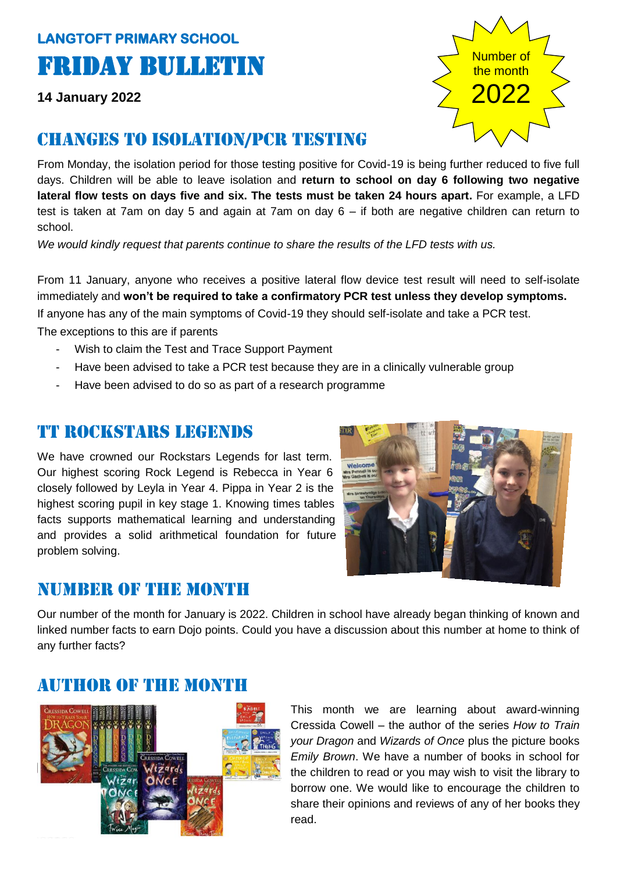# **LANGTOFT PRIMARY SCHOOL**  Friday Bulletin

**14 January 2022**

# Changes to isolation/pcr testing

From Monday, the isolation period for those testing positive for Covid-19 is being further reduced to five full days. Children will be able to leave isolation and **return to school on day 6 following two negative lateral flow tests on days five and six. The tests must be taken 24 hours apart.** For example, a LFD test is taken at 7am on day 5 and again at 7am on day 6 – if both are negative children can return to school.

*We would kindly request that parents continue to share the results of the LFD tests with us.* 

From 11 January, anyone who receives a positive lateral flow device test result will need to self-isolate immediately and **won't be required to take a confirmatory PCR test unless they develop symptoms.** If anyone has any of the main symptoms of Covid-19 they should self-isolate and take a PCR test. The exceptions to this are if parents

- Wish to claim the Test and Trace Support Payment
- Have been advised to take a PCR test because they are in a clinically vulnerable group
- Have been advised to do so as part of a research programme

### Tt Rockstars legends

We have crowned our Rockstars Legends for last term. Our highest scoring Rock Legend is Rebecca in Year 6 closely followed by Leyla in Year 4. Pippa in Year 2 is the highest scoring pupil in key stage 1. Knowing times tables facts supports mathematical learning and understanding and provides a solid arithmetical foundation for future problem solving.



### NUMBER OF THE MONTH

Our number of the month for January is 2022. Children in school have already began thinking of known and linked number facts to earn Dojo points. Could you have a discussion about this number at home to think of any further facts?

# Author of the month



This month we are learning about award-winning Cressida Cowell – the author of the series *How to Train your Dragon* and *Wizards of Once* plus the picture books *Emily Brown*. We have a number of books in school for the children to read or you may wish to visit the library to borrow one. We would like to encourage the children to share their opinions and reviews of any of her books they read.

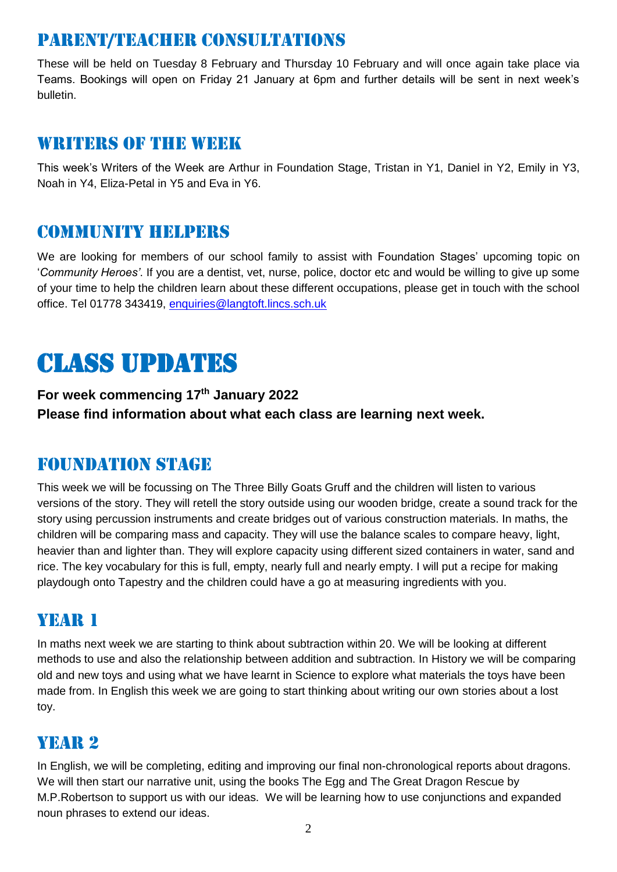# Parent/teacher consultations

These will be held on Tuesday 8 February and Thursday 10 February and will once again take place via Teams. Bookings will open on Friday 21 January at 6pm and further details will be sent in next week's bulletin.

#### WRITERS OF THE WEEK

This week's Writers of the Week are Arthur in Foundation Stage, Tristan in Y1, Daniel in Y2, Emily in Y3, Noah in Y4, Eliza-Petal in Y5 and Eva in Y6.

### Community helpers

We are looking for members of our school family to assist with Foundation Stages' upcoming topic on '*Community Heroes'*. If you are a dentist, vet, nurse, police, doctor etc and would be willing to give up some of your time to help the children learn about these different occupations, please get in touch with the school office. Tel 01778 343419, [enquiries@langtoft.lincs.sch.uk](mailto:enquiries@langtoft.lincs.sch.uk)

# Class updates

**For week commencing 17th January 2022 Please find information about what each class are learning next week.** 

### Foundation stage

This week we will be focussing on The Three Billy Goats Gruff and the children will listen to various versions of the story. They will retell the story outside using our wooden bridge, create a sound track for the story using percussion instruments and create bridges out of various construction materials. In maths, the children will be comparing mass and capacity. They will use the balance scales to compare heavy, light, heavier than and lighter than. They will explore capacity using different sized containers in water, sand and rice. The key vocabulary for this is full, empty, nearly full and nearly empty. I will put a recipe for making playdough onto Tapestry and the children could have a go at measuring ingredients with you.

### YEAR 1

In maths next week we are starting to think about subtraction within 20. We will be looking at different methods to use and also the relationship between addition and subtraction. In History we will be comparing old and new toys and using what we have learnt in Science to explore what materials the toys have been made from. In English this week we are going to start thinking about writing our own stories about a lost toy.

# YEAR 2

In English, we will be completing, editing and improving our final non-chronological reports about dragons. We will then start our narrative unit, using the books The Egg and The Great Dragon Rescue by M.P.Robertson to support us with our ideas. We will be learning how to use conjunctions and expanded noun phrases to extend our ideas.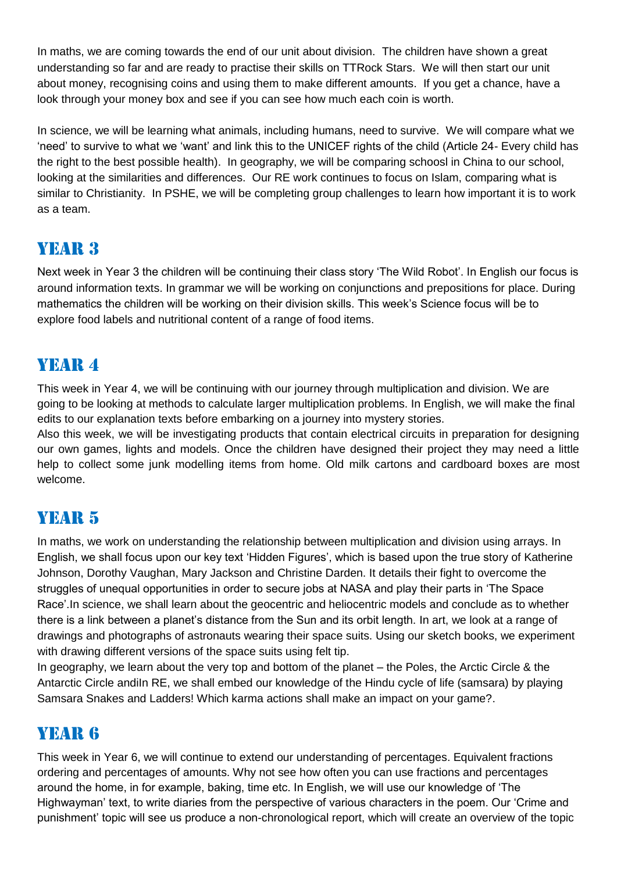In maths, we are coming towards the end of our unit about division. The children have shown a great understanding so far and are ready to practise their skills on TTRock Stars. We will then start our unit about money, recognising coins and using them to make different amounts. If you get a chance, have a look through your money box and see if you can see how much each coin is worth.

In science, we will be learning what animals, including humans, need to survive. We will compare what we 'need' to survive to what we 'want' and link this to the UNICEF rights of the child (Article 24- Every child has the right to the best possible health). In geography, we will be comparing schoosl in China to our school, looking at the similarities and differences. Our RE work continues to focus on Islam, comparing what is similar to Christianity. In PSHE, we will be completing group challenges to learn how important it is to work as a team.

# YEAR 3

Next week in Year 3 the children will be continuing their class story 'The Wild Robot'. In English our focus is around information texts. In grammar we will be working on conjunctions and prepositions for place. During mathematics the children will be working on their division skills. This week's Science focus will be to explore food labels and nutritional content of a range of food items.

# YEAR 4

This week in Year 4, we will be continuing with our journey through multiplication and division. We are going to be looking at methods to calculate larger multiplication problems. In English, we will make the final edits to our explanation texts before embarking on a journey into mystery stories.

Also this week, we will be investigating products that contain electrical circuits in preparation for designing our own games, lights and models. Once the children have designed their project they may need a little help to collect some junk modelling items from home. Old milk cartons and cardboard boxes are most welcome.

# YEAR 5

In maths, we work on understanding the relationship between multiplication and division using arrays. In English, we shall focus upon our key text 'Hidden Figures', which is based upon the true story of Katherine Johnson, Dorothy Vaughan, Mary Jackson and Christine Darden. It details their fight to overcome the struggles of unequal opportunities in order to secure jobs at NASA and play their parts in 'The Space Race'.In science, we shall learn about the geocentric and heliocentric models and conclude as to whether there is a link between a planet's distance from the Sun and its orbit length. In art, we look at a range of drawings and photographs of astronauts wearing their space suits. Using our sketch books, we experiment with drawing different versions of the space suits using felt tip.

In geography, we learn about the very top and bottom of the planet – the Poles, the Arctic Circle & the Antarctic Circle andiln RE, we shall embed our knowledge of the Hindu cycle of life (samsara) by playing Samsara Snakes and Ladders! Which karma actions shall make an impact on your game?.

# YEAR **6**

This week in Year 6, we will continue to extend our understanding of percentages. Equivalent fractions ordering and percentages of amounts. Why not see how often you can use fractions and percentages around the home, in for example, baking, time etc. In English, we will use our knowledge of 'The Highwayman' text, to write diaries from the perspective of various characters in the poem. Our 'Crime and punishment' topic will see us produce a non-chronological report, which will create an overview of the topic